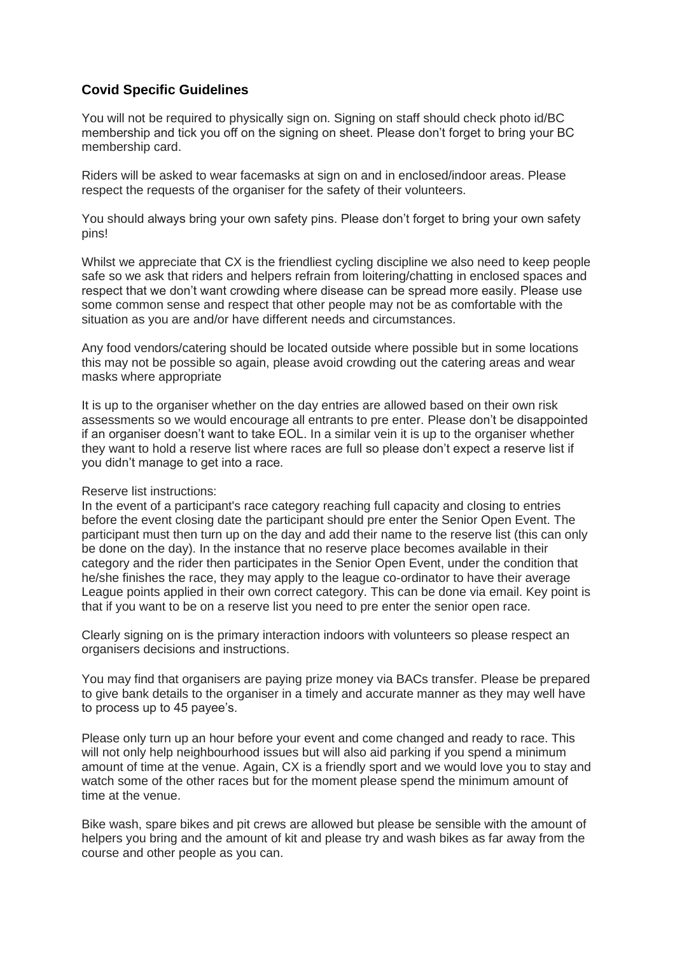### **Covid Specific Guidelines**

You will not be required to physically sign on. Signing on staff should check photo id/BC membership and tick you off on the signing on sheet. Please don't forget to bring your BC membership card.

Riders will be asked to wear facemasks at sign on and in enclosed/indoor areas. Please respect the requests of the organiser for the safety of their volunteers.

You should always bring your own safety pins. Please don't forget to bring your own safety pins!

Whilst we appreciate that CX is the friendliest cycling discipline we also need to keep people safe so we ask that riders and helpers refrain from loitering/chatting in enclosed spaces and respect that we don't want crowding where disease can be spread more easily. Please use some common sense and respect that other people may not be as comfortable with the situation as you are and/or have different needs and circumstances.

Any food vendors/catering should be located outside where possible but in some locations this may not be possible so again, please avoid crowding out the catering areas and wear masks where appropriate

It is up to the organiser whether on the day entries are allowed based on their own risk assessments so we would encourage all entrants to pre enter. Please don't be disappointed if an organiser doesn't want to take EOL. In a similar vein it is up to the organiser whether they want to hold a reserve list where races are full so please don't expect a reserve list if you didn't manage to get into a race.

#### Reserve list instructions:

In the event of a participant's race category reaching full capacity and closing to entries before the event closing date the participant should pre enter the Senior Open Event. The participant must then turn up on the day and add their name to the reserve list (this can only be done on the day). In the instance that no reserve place becomes available in their category and the rider then participates in the Senior Open Event, under the condition that he/she finishes the race, they may apply to the league co-ordinator to have their average League points applied in their own correct category. This can be done via email. Key point is that if you want to be on a reserve list you need to pre enter the senior open race.

Clearly signing on is the primary interaction indoors with volunteers so please respect an organisers decisions and instructions.

You may find that organisers are paying prize money via BACs transfer. Please be prepared to give bank details to the organiser in a timely and accurate manner as they may well have to process up to 45 payee's.

Please only turn up an hour before your event and come changed and ready to race. This will not only help neighbourhood issues but will also aid parking if you spend a minimum amount of time at the venue. Again, CX is a friendly sport and we would love you to stay and watch some of the other races but for the moment please spend the minimum amount of time at the venue.

Bike wash, spare bikes and pit crews are allowed but please be sensible with the amount of helpers you bring and the amount of kit and please try and wash bikes as far away from the course and other people as you can.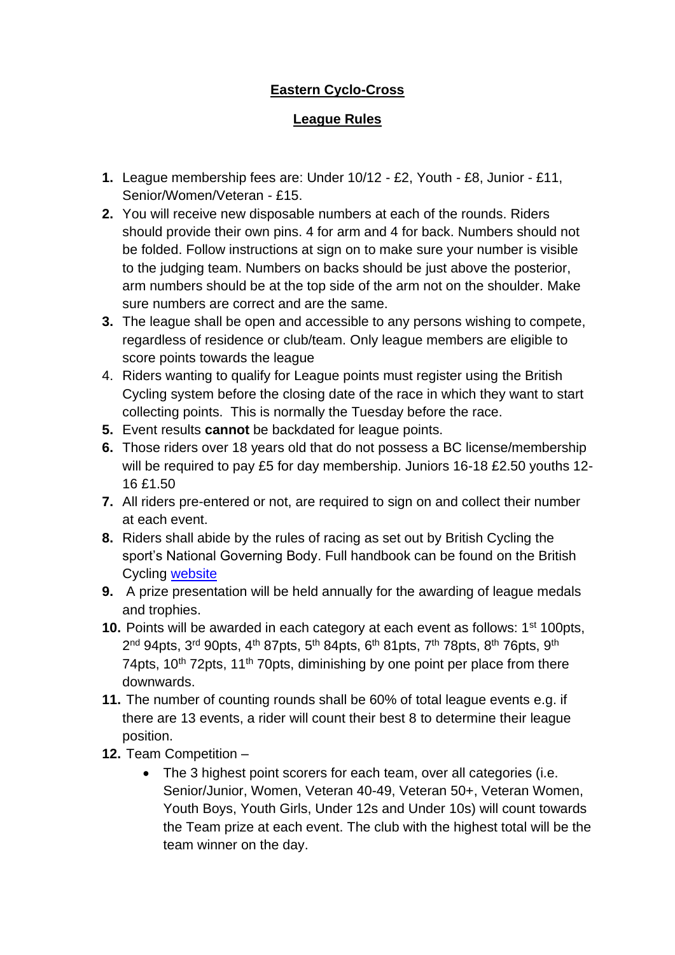# **Eastern Cyclo-Cross**

## **League Rules**

- **1.** League membership fees are: Under 10/12 £2, Youth £8, Junior £11, Senior/Women/Veteran - £15.
- **2.** You will receive new disposable numbers at each of the rounds. Riders should provide their own pins. 4 for arm and 4 for back. Numbers should not be folded. Follow instructions at sign on to make sure your number is visible to the judging team. Numbers on backs should be just above the posterior, arm numbers should be at the top side of the arm not on the shoulder. Make sure numbers are correct and are the same.
- **3.** The league shall be open and accessible to any persons wishing to compete, regardless of residence or club/team. Only league members are eligible to score points towards the league
- 4. Riders wanting to qualify for League points must register using the British Cycling system before the closing date of the race in which they want to start collecting points. This is normally the Tuesday before the race.
- **5.** Event results **cannot** be backdated for league points.
- **6.** Those riders over 18 years old that do not possess a BC license/membership will be required to pay £5 for day membership. Juniors 16-18 £2.50 youths 12- 16 £1.50
- **7.** All riders pre-entered or not, are required to sign on and collect their number at each event.
- **8.** Riders shall abide by the rules of racing as set out by British Cycling the sport's National Governing Body. Full handbook can be found on the British Cycling [website](https://www.britishcycling.org.uk/cyclocross/article/bcst_rulebook_and_constitution?c=EN)
- **9.** A prize presentation will be held annually for the awarding of league medals and trophies.
- **10.** Points will be awarded in each category at each event as follows: 1<sup>st</sup> 100pts, 2<sup>nd</sup> 94pts, 3<sup>rd</sup> 90pts, 4<sup>th</sup> 87pts, 5<sup>th</sup> 84pts, 6<sup>th</sup> 81pts, 7<sup>th</sup> 78pts, 8<sup>th</sup> 76pts, 9<sup>th</sup> 74pts, 10<sup>th</sup> 72pts, 11<sup>th</sup> 70pts, diminishing by one point per place from there downwards.
- **11.** The number of counting rounds shall be 60% of total league events e.g. if there are 13 events, a rider will count their best 8 to determine their league position.
- **12.** Team Competition
	- The 3 highest point scorers for each team, over all categories (i.e. Senior/Junior, Women, Veteran 40-49, Veteran 50+, Veteran Women, Youth Boys, Youth Girls, Under 12s and Under 10s) will count towards the Team prize at each event. The club with the highest total will be the team winner on the day.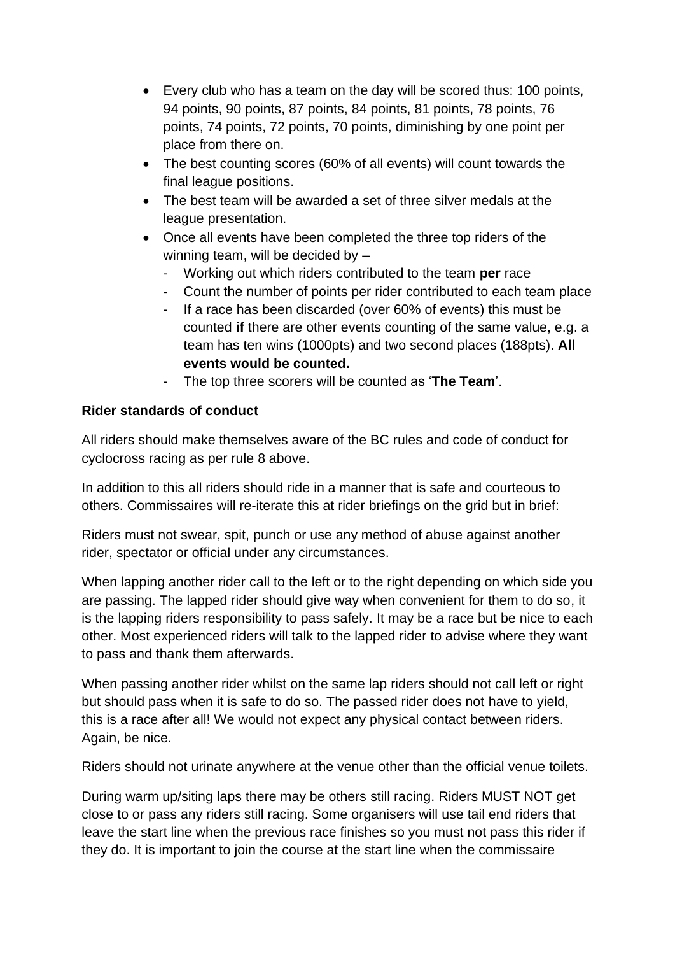- Every club who has a team on the day will be scored thus: 100 points, 94 points, 90 points, 87 points, 84 points, 81 points, 78 points, 76 points, 74 points, 72 points, 70 points, diminishing by one point per place from there on.
- The best counting scores (60% of all events) will count towards the final league positions.
- The best team will be awarded a set of three silver medals at the league presentation.
- Once all events have been completed the three top riders of the winning team, will be decided by –
	- Working out which riders contributed to the team **per** race
	- Count the number of points per rider contributed to each team place
	- If a race has been discarded (over 60% of events) this must be counted **if** there are other events counting of the same value, e.g. a team has ten wins (1000pts) and two second places (188pts). **All events would be counted.**
	- The top three scorers will be counted as '**The Team**'.

## **Rider standards of conduct**

All riders should make themselves aware of the BC rules and code of conduct for cyclocross racing as per rule 8 above.

In addition to this all riders should ride in a manner that is safe and courteous to others. Commissaires will re-iterate this at rider briefings on the grid but in brief:

Riders must not swear, spit, punch or use any method of abuse against another rider, spectator or official under any circumstances.

When lapping another rider call to the left or to the right depending on which side you are passing. The lapped rider should give way when convenient for them to do so, it is the lapping riders responsibility to pass safely. It may be a race but be nice to each other. Most experienced riders will talk to the lapped rider to advise where they want to pass and thank them afterwards.

When passing another rider whilst on the same lap riders should not call left or right but should pass when it is safe to do so. The passed rider does not have to yield, this is a race after all! We would not expect any physical contact between riders. Again, be nice.

Riders should not urinate anywhere at the venue other than the official venue toilets.

During warm up/siting laps there may be others still racing. Riders MUST NOT get close to or pass any riders still racing. Some organisers will use tail end riders that leave the start line when the previous race finishes so you must not pass this rider if they do. It is important to join the course at the start line when the commissaire